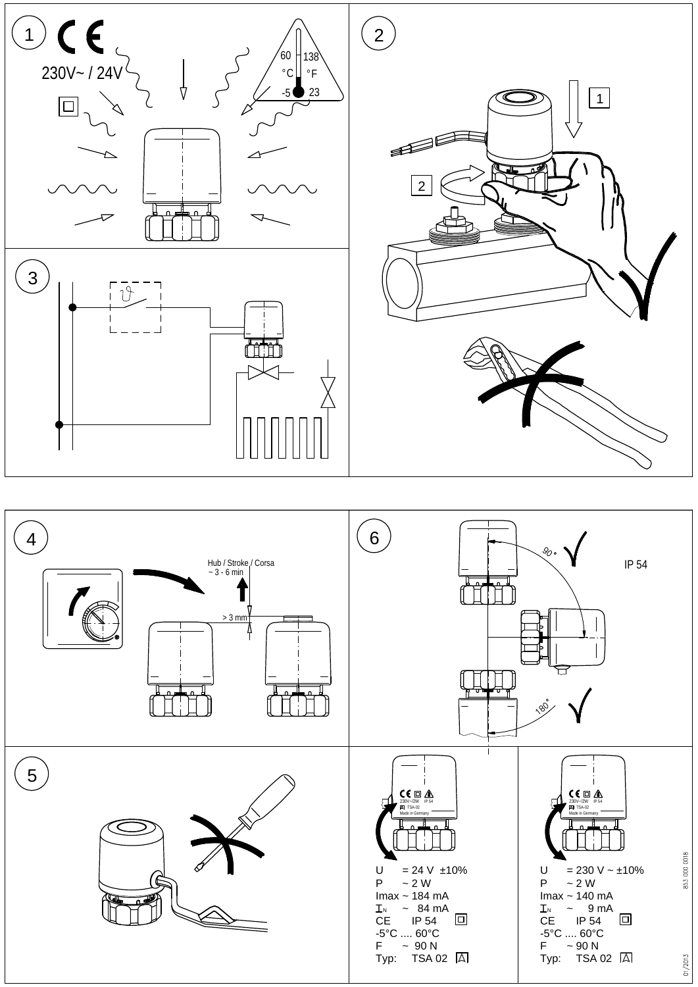

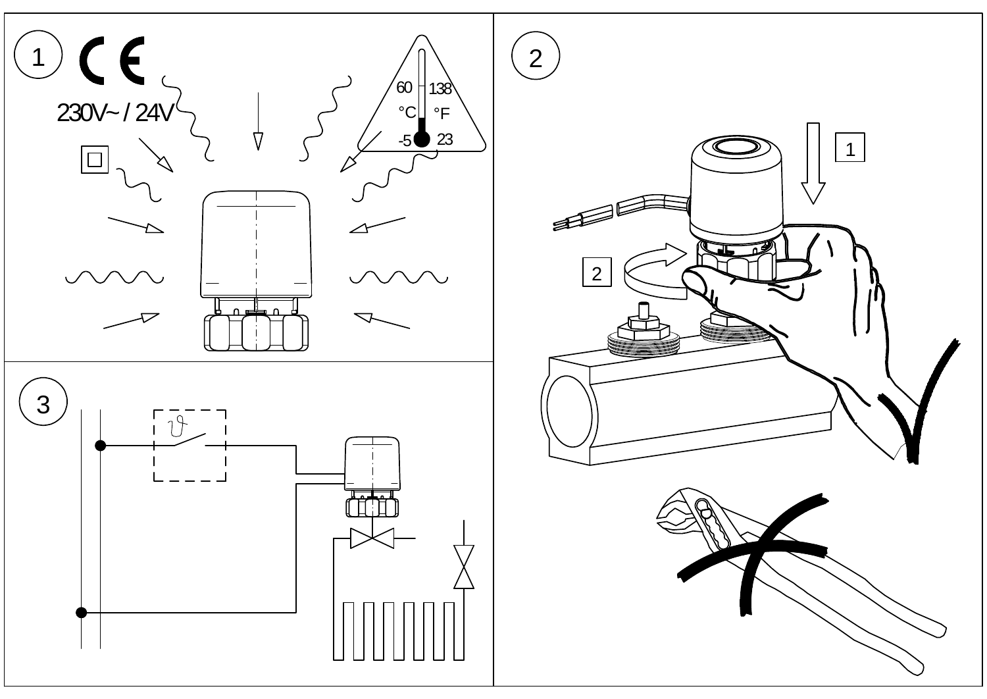